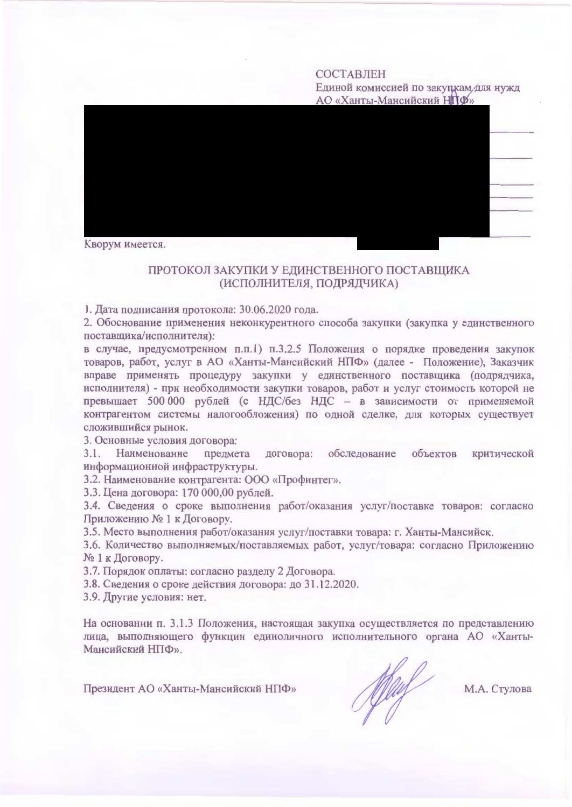# СОСТАВЛЕН

Единой комиссией по закупкам для нужд АО «Ханты-Мансийский НПФ»



Кворум имеется.

### ПРОТОКОЛ ЗАКУПКИ У ЕДИНСТВЕННОГО ПОСТАВЩИКА (ИСПОЛНИТЕЛЯ, ПОДРЯДЧИКА)

1. Дата подписания протокола: 30.06.2020 года.

2. Обоснование применения неконкурентного способа закупки (закупка у единственного поставщика/исполнителя):

в случае, предусмотренном п.п.1) п.3.2.5 Положения о порядке проведения закупок товаров, работ, услуг в АО «Ханты-Мансийский НПФ» (далее - Положение), Заказчик вправе применять процедуру закупки у единственного поставщика (подрядчика, исполнителя) - при необходимости закупки товаров, работ и услуг стоимость которой не превышает 500 000 рублей (с НДС/без НДС - в зависимости от применяемой контрагентом системы налогообложения) по одной сделке, для которых существует сложившийся рынок.

3. Основные условия договора:

 $3.1.$ Наименование предмета договора: обследование объектов критической информационной инфраструктуры.

3.2. Наименование контрагента: ООО «Профинтег».

3.3. Цена договора: 170 000,00 рублей.

3.4. Сведения о сроке выполнения работ/оказания услуг/поставке товаров: согласно Приложению № 1 к Договору.

3.5. Место выполнения работ/оказания услуг/поставки товара: г. Ханты-Мансийск.

3.6. Количество выполняемых/поставляемых работ, услуг/товара: согласно Приложению №1 к Договору.

3.7. Порядок оплаты: согласно разделу 2 Договора.

3.8. Сведения о сроке действия договора: до 31.12.2020.

3.9. Другие условия: нет.

На основании п. 3.1.3 Положения, настоящая закупка осуществляется по представлению лица, выполняющего функции единоличного исполнительного органа АО «Ханты-Мансийский НПФ».

Президент АО «Ханты-Мансийский НПФ»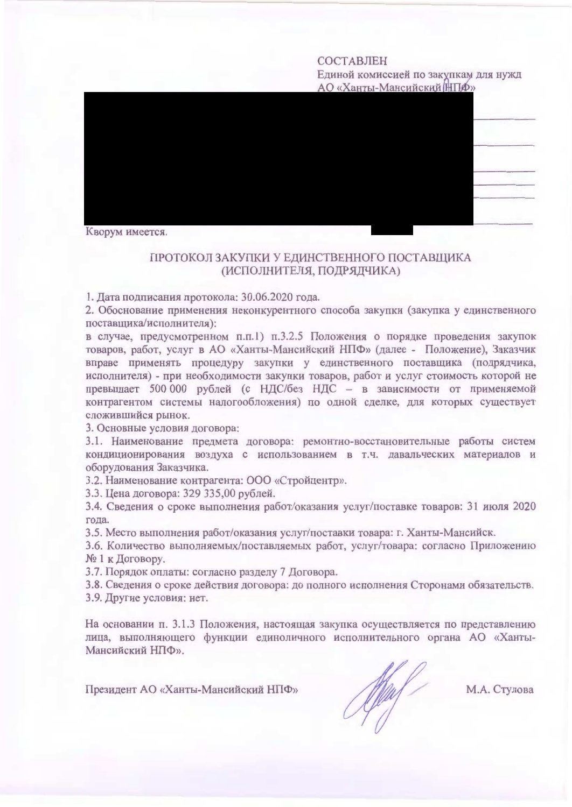### СОСТАВЛЕН

Единой комиссией по закупкам для нужд АО «Ханты-Мансийский НПФ»



## ПРОТОКОЛ ЗАКУПКИ У ЕДИНСТВЕННОГО ПОСТАВЩИКА (ИСПОЛНИТЕЛЯ, ПОДРЯДЧИКА)

1. Дата подписания протокола: 30.06.2020 года.

2. Обоснование применения неконкурентного способа закупки (закупка у единственного поставщика/исполнителя):

в случае, предусмотренном п.п.1) п.3.2.5 Положения о порядке проведения закупок товаров, работ, услуг в АО «Ханты-Мансийский НПФ» (далее - Положение), Заказчик вправе применять процедуру закупки у единственного поставщика (подрядчика, исполнителя) - при необходимости закупки товаров, работ и услуг стоимость которой не превышает 500 000 рублей (с НДС/без НДС - в зависимости от применяемой контрагентом системы налогообложения) по одной сделке, для которых существует сложившийся рынок.

3. Основные условия договора:

3.1. Наименование предмета договора: ремонтно-восстановительные работы систем кондиционирования воздуха с использованием в т.ч. давальческих материалов и оборудования Заказчика.

3.2. Наименование контрагента: ООО «Стройцентр».

3.3. Цена договора: 329 335,00 рублей.

3.4. Сведения о сроке выполнения работ/оказания услуг/поставке товаров: 31 июля 2020 года.

3.5. Место выполнения работ/оказания услуг/поставки товара: г. Ханты-Мансийск.

3.6. Количество выполняемых/поставляемых работ, услуг/товара: согласно Приложению № 1 к Договору.

3.7. Порядок оплаты: согласно разделу 7 Договора.

3.8. Сведения о сроке действия договора: до полного исполнения Сторонами обязательств.

3.9. Другие условия: нет.

На основании п. 3.1.3 Положения, настоящая закупка осуществляется по представлению лица, выполняющего функции единоличного исполнительного органа АО «Ханты-Мансийский НПФ».

Президент АО «Ханты-Мансийский НПФ»

May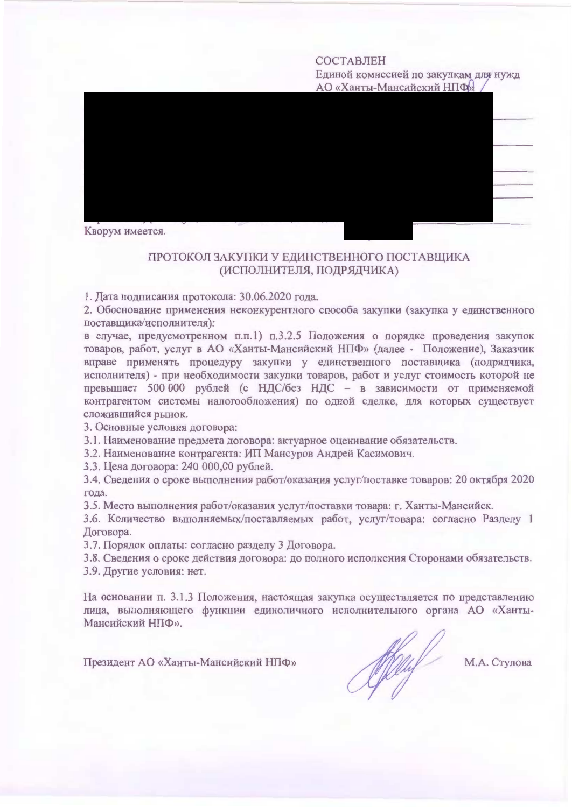### **СОСТАВЛЕН**

Единой комиссией по закупкам для нужд АО «Ханты-Мансийский НПФ»



# ПРОТОКОЛ ЗАКУПКИ У ЕДИНСТВЕННОГО ПОСТАВЩИКА (ИСПОЛНИТЕЛЯ, ПОДРЯДЧИКА)

1. Дата подписания протокола: 30.06.2020 года.

2. Обоснование применения неконкурентного способа закупки (закупка у единственного поставщика/исполнителя):

в случае, предусмотренном п.п.1) п.3.2.5 Положения о порядке проведения закупок товаров, работ, услуг в АО «Ханты-Мансийский НПФ» (далее - Положение), Заказчик вправе применять процедуру закупки у единственного поставщика (подрядчика, исполнителя) - при необходимости закупки товаров, работ и услуг стоимость которой не превышает 500 000 рублей (с НДС/без НДС - в зависимости от применяемой контрагентом системы налогообложения) по одной сделке, для которых существует сложившийся рынок.

3. Основные условия договора:

3.1. Наименование предмета договора: актуарное оценивание обязательств.

3.2. Наименование контрагента: ИП Мансуров Андрей Касимович.

3.3. Цена договора: 240 000,00 рублей.

3.4. Сведения о сроке выполнения работ/оказания услуг/поставке товаров: 20 октября 2020 года.

3.5. Место выполнения работ/оказания услуг/поставки товара: г. Ханты-Мансийск.

3.6. Количество выполняемых/поставляемых работ, услуг/товара: согласно Разделу 1 Договора.

3.7. Порядок оплаты: согласно разделу 3 Договора.

3.8. Сведения о сроке действия договора: до полного исполнения Сторонами обязательств. 3.9. Другие условия: нет.

На основании п. 3.1.3 Положения, настоящая закупка осуществляется по представлению лица, выполняющего функции единоличного исполнительного органа АО «Ханты-Мансийский НПФ».

Президент АО «Ханты-Мансийский НПФ»